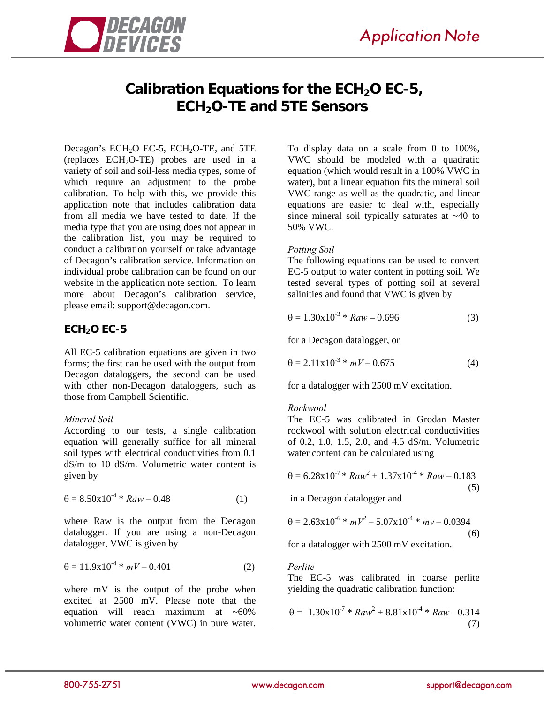



# **Calibration Equations for the ECH<sub>2</sub>O EC-5, ECH<sub>2</sub>O-TE and 5TE Sensors**

Decagon's  $ECH<sub>2</sub>O$   $EC-5$ ,  $ECH<sub>2</sub>O-TE$ , and  $5TE$ (replaces  $ECH<sub>2</sub>O-TE$ ) probes are used in a variety of soil and soil-less media types, some of which require an adjustment to the probe calibration. To help with this, we provide this application note that includes calibration data from all media we have tested to date. If the media type that you are using does not appear in the calibration list, you may be required to conduct a calibration yourself or take advantage of Decagon's calibration service. Information on individual probe calibration can be found on our website in the application note section. To learn more about Decagon's calibration service, please email: support@decagon.com.

# **ECH2O EC-5**

All EC-5 calibration equations are given in two forms; the first can be used with the output from Decagon dataloggers, the second can be used with other non-Decagon dataloggers, such as those from Campbell Scientific.

# *Mineral Soil*

According to our tests, a single calibration equation will generally suffice for all mineral soil types with electrical conductivities from 0.1 dS/m to 10 dS/m. Volumetric water content is given by

$$
\theta = 8.50 \times 10^{-4} * Raw - 0.48 \tag{1}
$$

where Raw is the output from the Decagon datalogger. If you are using a non-Decagon datalogger, VWC is given by

$$
\theta = 11.9 \times 10^{-4} * mV - 0.401 \tag{2}
$$

where mV is the output of the probe when excited at 2500 mV. Please note that the equation will reach maximum at  $~60\%$ volumetric water content (VWC) in pure water.

To display data on a scale from 0 to 100%, VWC should be modeled with a quadratic equation (which would result in a 100% VWC in water), but a linear equation fits the mineral soil VWC range as well as the quadratic, and linear equations are easier to deal with, especially since mineral soil typically saturates at  $~140$  to 50% VWC.

#### *Potting Soil*

The following equations can be used to convert EC-5 output to water content in potting soil. We tested several types of potting soil at several salinities and found that VWC is given by

$$
\theta = 1.30 \times 10^{-3} * Raw - 0.696 \tag{3}
$$

for a Decagon datalogger, or

$$
\theta = 2.11 \times 10^{-3} * mV - 0.675 \tag{4}
$$

for a datalogger with 2500 mV excitation.

#### *Rockwool*

The EC-5 was calibrated in Grodan Master rockwool with solution electrical conductivities of 0.2, 1.0, 1.5, 2.0, and 4.5 dS/m. Volumetric water content can be calculated using

$$
\theta = 6.28 \times 10^{-7} * Raw^2 + 1.37 \times 10^{-4} * Raw - 0.183
$$
\n(5)

in a Decagon datalogger and

$$
\theta = 2.63 \times 10^{-6} * mV^2 - 5.07 \times 10^{-4} * mv - 0.0394
$$
\n(6)

for a datalogger with 2500 mV excitation.

#### *Perlite*

The EC-5 was calibrated in coarse perlite yielding the quadratic calibration function:

$$
\theta = -1.30 \times 10^{-7} * Raw^{2} + 8.81 \times 10^{-4} * Raw - 0.314
$$
\n(7)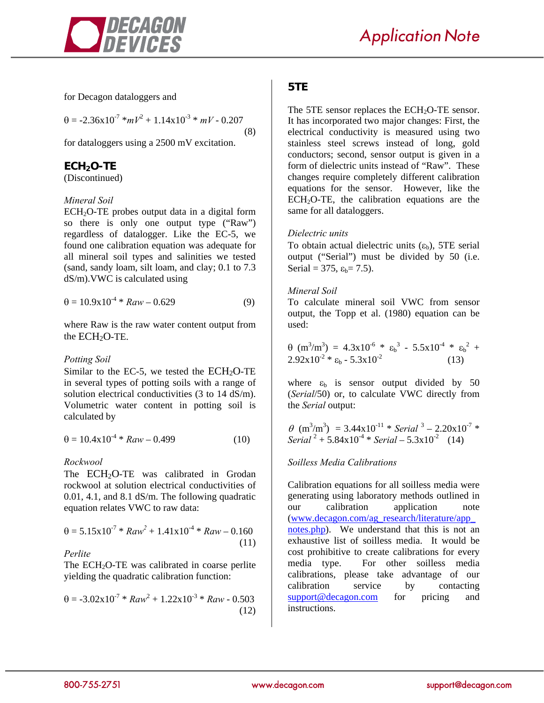

for Decagon dataloggers and

 $\theta = -2.36 \times 10^{-7} * mV^2 + 1.14 \times 10^{-3} * mV - 0.207$ 

(8)

for dataloggers using a 2500 mV excitation.

# **ECH2O-TE**

(Discontinued)

# *Mineral Soil*

 $ECH<sub>2</sub>O-TE$  probes output data in a digital form so there is only one output type ("Raw") regardless of datalogger. Like the EC-5, we found one calibration equation was adequate for all mineral soil types and salinities we tested (sand, sandy loam, silt loam, and clay; 0.1 to 7.3 dS/m).VWC is calculated using

$$
\theta = 10.9 \times 10^{-4} * Raw - 0.629 \tag{9}
$$

where Raw is the raw water content output from the ECH<sub>2</sub>O-TE.

# *Potting Soil*

Similar to the EC-5, we tested the  $ECH<sub>2</sub>O-TE$ in several types of potting soils with a range of solution electrical conductivities (3 to 14 dS/m). Volumetric water content in potting soil is calculated by

$$
\theta = 10.4 \times 10^{-4} * Raw - 0.499 \tag{10}
$$

# *Rockwool*

The  $ECH<sub>2</sub>O-TE$  was calibrated in Grodan rockwool at solution electrical conductivities of 0.01, 4.1, and 8.1 dS/m. The following quadratic equation relates VWC to raw data:

$$
\theta = 5.15 \times 10^{-7} * Raw^2 + 1.41 \times 10^{-4} * Raw - 0.160
$$
\n(11)

#### *Perlite*

The ECH<sub>2</sub>O-TE was calibrated in coarse perlite yielding the quadratic calibration function:

$$
\theta = -3.02 \times 10^{-7} * Raw^{2} + 1.22 \times 10^{-3} * Raw - 0.503
$$
\n(12)

# **5TE**

The 5TE sensor replaces the  $ECH<sub>2</sub>O-TE$  sensor. It has incorporated two major changes: First, the electrical conductivity is measured using two stainless steel screws instead of long, gold conductors; second, sensor output is given in a form of dielectric units instead of "Raw". These changes require completely different calibration equations for the sensor. However, like the ECH2O-TE, the calibration equations are the same for all dataloggers.

# *Dielectric units*

To obtain actual dielectric units  $(\epsilon_b)$ , 5TE serial output ("Serial") must be divided by 50 (i.e. Serial = 375,  $\varepsilon_b$  = 7.5).

#### *Mineral Soil*

To calculate mineral soil VWC from sensor output, the Topp et al. (1980) equation can be used:

$$
\theta \text{ (m}^3/\text{m}^3) = 4.3 \times 10^{-6} * \epsilon_b^3 - 5.5 \times 10^{-4} * \epsilon_b^2 + 2.92 \times 10^{-2} * \epsilon_b - 5.3 \times 10^{-2} \qquad (13)
$$

where  $\varepsilon_b$  is sensor output divided by 50 (*Serial*/50) or, to calculate VWC directly from the *Serial* output:

$$
\theta \text{ (m}^3/\text{m}^3) = 3.44 \times 10^{-11} \times \text{Serial }^3 - 2.20 \times 10^{-7} \times \text{Serial }^2 + 5.84 \times 10^{-4} \times \text{Serial } -5.3 \times 10^{-2} \quad (14)
$$

# *Soilless Media Calibrations*

Calibration equations for all soilless media were generating using laboratory methods outlined in our calibration application note (www.decagon.com/ag\_research/literature/app\_ notes.php). We understand that this is not an exhaustive list of soilless media. It would be cost prohibitive to create calibrations for every media type. For other soilless media calibrations, please take advantage of our calibration service by contacting support@decagon.com for pricing and instructions.